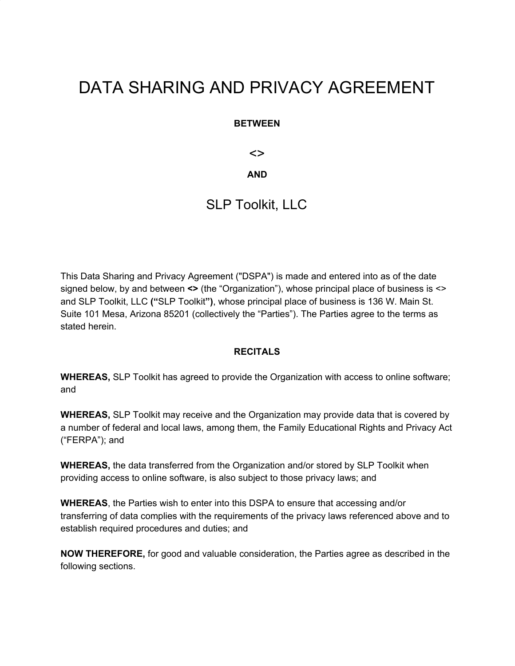# DATA SHARING AND PRIVACY AGREEMENT

#### **BETWEEN**

<>

#### **AND**

### SLP Toolkit, LLC

This Data Sharing and Privacy Agreement ("DSPA") is made and entered into as of the date signed below, by and between <> (the "Organization"), whose principal place of business is <> and SLP Toolkit, LLC **("**SLP Toolkit**")**, whose principal place of business is 136 W. Main St. Suite 101 Mesa, Arizona 85201 (collectively the "Parties"). The Parties agree to the terms as stated herein.

#### **RECITALS**

**WHEREAS,** SLP Toolkit has agreed to provide the Organization with access to online software; and

**WHEREAS,** SLP Toolkit may receive and the Organization may provide data that is covered by a number of federal and local laws, among them, the Family Educational Rights and Privacy Act ("FERPA"); and

**WHEREAS,** the data transferred from the Organization and/or stored by SLP Toolkit when providing access to online software, is also subject to those privacy laws; and

**WHEREAS**, the Parties wish to enter into this DSPA to ensure that accessing and/or transferring of data complies with the requirements of the privacy laws referenced above and to establish required procedures and duties; and

**NOW THEREFORE,** for good and valuable consideration, the Parties agree as described in the following sections.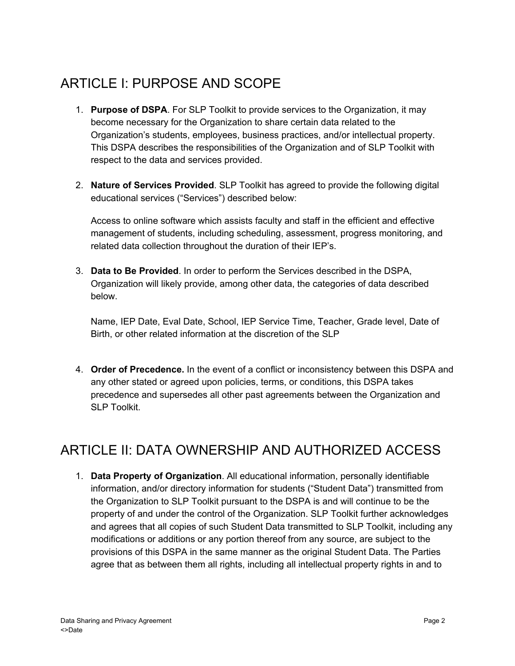## ARTICLE I: PURPOSE AND SCOPE

- 1. **Purpose of DSPA**. For SLP Toolkit to provide services to the Organization, it may become necessary for the Organization to share certain data related to the Organization's students, employees, business practices, and/or intellectual property. This DSPA describes the responsibilities of the Organization and of SLP Toolkit with respect to the data and services provided.
- 2. **Nature of Services Provided**. SLP Toolkit has agreed to provide the following digital educational services ("Services") described below:

Access to online software which assists faculty and staff in the efficient and effective management of students, including scheduling, assessment, progress monitoring, and related data collection throughout the duration of their IEP's.

3. **Data to Be Provided**. In order to perform the Services described in the DSPA, Organization will likely provide, among other data, the categories of data described below.

Name, IEP Date, Eval Date, School, IEP Service Time, Teacher, Grade level, Date of Birth, or other related information at the discretion of the SLP

4. **Order of Precedence.** In the event of a conflict or inconsistency between this DSPA and any other stated or agreed upon policies, terms, or conditions, this DSPA takes precedence and supersedes all other past agreements between the Organization and SLP Toolkit.

## ARTICLE II: DATA OWNERSHIP AND AUTHORIZED ACCESS

1. **Data Property of Organization**. All educational information, personally identifiable information, and/or directory information for students ("Student Data") transmitted from the Organization to SLP Toolkit pursuant to the DSPA is and will continue to be the property of and under the control of the Organization. SLP Toolkit further acknowledges and agrees that all copies of such Student Data transmitted to SLP Toolkit, including any modifications or additions or any portion thereof from any source, are subject to the provisions of this DSPA in the same manner as the original Student Data. The Parties agree that as between them all rights, including all intellectual property rights in and to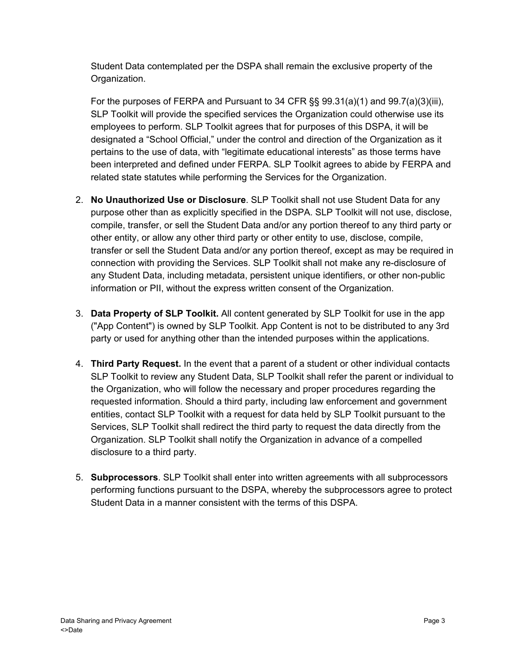Student Data contemplated per the DSPA shall remain the exclusive property of the Organization.

For the purposes of FERPA and Pursuant to 34 CFR §§ 99.31(a)(1) and 99.7(a)(3)(iii), SLP Toolkit will provide the specified services the Organization could otherwise use its employees to perform. SLP Toolkit agrees that for purposes of this DSPA, it will be designated a "School Official," under the control and direction of the Organization as it pertains to the use of data, with "legitimate educational interests" as those terms have been interpreted and defined under FERPA. SLP Toolkit agrees to abide by FERPA and related state statutes while performing the Services for the Organization.

- 2. **No Unauthorized Use or Disclosure**. SLP Toolkit shall not use Student Data for any purpose other than as explicitly specified in the DSPA. SLP Toolkit will not use, disclose, compile, transfer, or sell the Student Data and/or any portion thereof to any third party or other entity, or allow any other third party or other entity to use, disclose, compile, transfer or sell the Student Data and/or any portion thereof, except as may be required in connection with providing the Services. SLP Toolkit shall not make any re-disclosure of any Student Data, including metadata, persistent unique identifiers, or other non-public information or PII, without the express written consent of the Organization.
- 3. **Data Property of SLP Toolkit.** All content generated by SLP Toolkit for use in the app ("App Content") is owned by SLP Toolkit. App Content is not to be distributed to any 3rd party or used for anything other than the intended purposes within the applications.
- 4. **Third Party Request.** In the event that a parent of a student or other individual contacts SLP Toolkit to review any Student Data, SLP Toolkit shall refer the parent or individual to the Organization, who will follow the necessary and proper procedures regarding the requested information. Should a third party, including law enforcement and government entities, contact SLP Toolkit with a request for data held by SLP Toolkit pursuant to the Services, SLP Toolkit shall redirect the third party to request the data directly from the Organization. SLP Toolkit shall notify the Organization in advance of a compelled disclosure to a third party.
- 5. **Subprocessors**. SLP Toolkit shall enter into written agreements with all subprocessors performing functions pursuant to the DSPA, whereby the subprocessors agree to protect Student Data in a manner consistent with the terms of this DSPA.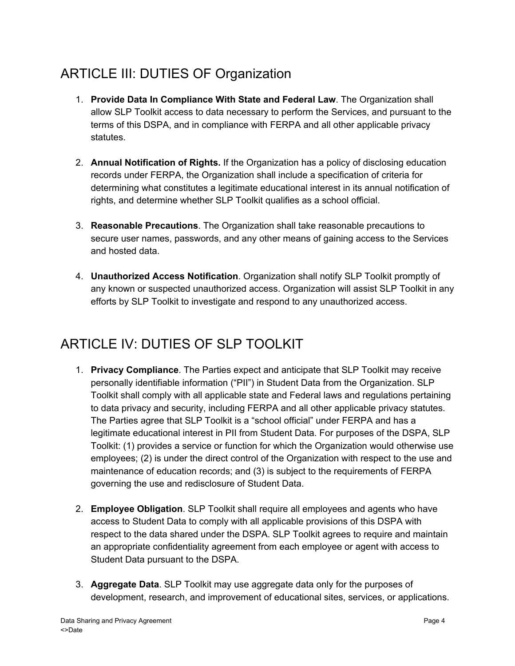# ARTICLE III: DUTIES OF Organization

- 1. **Provide Data In Compliance With State and Federal Law**. The Organization shall allow SLP Toolkit access to data necessary to perform the Services, and pursuant to the terms of this DSPA, and in compliance with FERPA and all other applicable privacy statutes.
- 2. **Annual Notification of Rights.** If the Organization has a policy of disclosing education records under FERPA, the Organization shall include a specification of criteria for determining what constitutes a legitimate educational interest in its annual notification of rights, and determine whether SLP Toolkit qualifies as a school official.
- 3. **Reasonable Precautions**. The Organization shall take reasonable precautions to secure user names, passwords, and any other means of gaining access to the Services and hosted data.
- 4. **Unauthorized Access Notification**. Organization shall notify SLP Toolkit promptly of any known or suspected unauthorized access. Organization will assist SLP Toolkit in any efforts by SLP Toolkit to investigate and respond to any unauthorized access.

## ARTICLE IV: DUTIES OF SLP TOOLKIT

- 1. **Privacy Compliance**. The Parties expect and anticipate that SLP Toolkit may receive personally identifiable information ("PII") in Student Data from the Organization. SLP Toolkit shall comply with all applicable state and Federal laws and regulations pertaining to data privacy and security, including FERPA and all other applicable privacy statutes. The Parties agree that SLP Toolkit is a "school official" under FERPA and has a legitimate educational interest in PII from Student Data. For purposes of the DSPA, SLP Toolkit: (1) provides a service or function for which the Organization would otherwise use employees; (2) is under the direct control of the Organization with respect to the use and maintenance of education records; and (3) is subject to the requirements of FERPA governing the use and redisclosure of Student Data.
- 2. **Employee Obligation**. SLP Toolkit shall require all employees and agents who have access to Student Data to comply with all applicable provisions of this DSPA with respect to the data shared under the DSPA. SLP Toolkit agrees to require and maintain an appropriate confidentiality agreement from each employee or agent with access to Student Data pursuant to the DSPA.
- 3. **Aggregate Data**. SLP Toolkit may use aggregate data only for the purposes of development, research, and improvement of educational sites, services, or applications.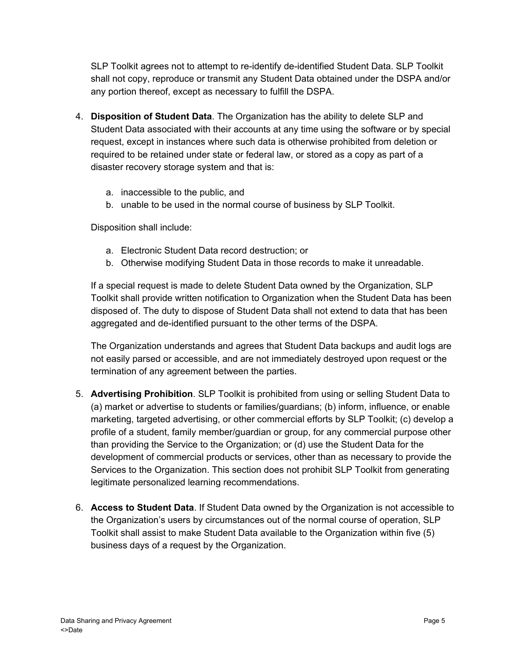SLP Toolkit agrees not to attempt to re-identify de-identified Student Data. SLP Toolkit shall not copy, reproduce or transmit any Student Data obtained under the DSPA and/or any portion thereof, except as necessary to fulfill the DSPA.

- 4. **Disposition of Student Data**. The Organization has the ability to delete SLP and Student Data associated with their accounts at any time using the software or by special request, except in instances where such data is otherwise prohibited from deletion or required to be retained under state or federal law, or stored as a copy as part of a disaster recovery storage system and that is:
	- a. inaccessible to the public, and
	- b. unable to be used in the normal course of business by SLP Toolkit.

Disposition shall include:

- a. Electronic Student Data record destruction; or
- b. Otherwise modifying Student Data in those records to make it unreadable.

If a special request is made to delete Student Data owned by the Organization, SLP Toolkit shall provide written notification to Organization when the Student Data has been disposed of. The duty to dispose of Student Data shall not extend to data that has been aggregated and de-identified pursuant to the other terms of the DSPA.

The Organization understands and agrees that Student Data backups and audit logs are not easily parsed or accessible, and are not immediately destroyed upon request or the termination of any agreement between the parties.

- 5. **Advertising Prohibition**. SLP Toolkit is prohibited from using or selling Student Data to (a) market or advertise to students or families/guardians; (b) inform, influence, or enable marketing, targeted advertising, or other commercial efforts by SLP Toolkit; (c) develop a profile of a student, family member/guardian or group, for any commercial purpose other than providing the Service to the Organization; or (d) use the Student Data for the development of commercial products or services, other than as necessary to provide the Services to the Organization. This section does not prohibit SLP Toolkit from generating legitimate personalized learning recommendations.
- 6. **Access to Student Data**. If Student Data owned by the Organization is not accessible to the Organization's users by circumstances out of the normal course of operation, SLP Toolkit shall assist to make Student Data available to the Organization within five (5) business days of a request by the Organization.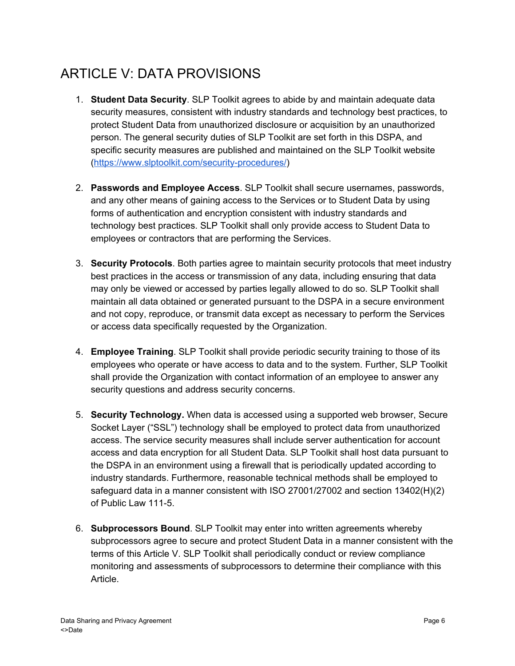# ARTICLE V: DATA PROVISIONS

- 1. **Student Data Security**. SLP Toolkit agrees to abide by and maintain adequate data security measures, consistent with industry standards and technology best practices, to protect Student Data from unauthorized disclosure or acquisition by an unauthorized person. The general security duties of SLP Toolkit are set forth in this DSPA, and specific security measures are published and maintained on the SLP Toolkit website (<https://www.slptoolkit.com/security-procedures/>)
- 2. **Passwords and Employee Access**. SLP Toolkit shall secure usernames, passwords, and any other means of gaining access to the Services or to Student Data by using forms of authentication and encryption consistent with industry standards and technology best practices. SLP Toolkit shall only provide access to Student Data to employees or contractors that are performing the Services.
- 3. **Security Protocols**. Both parties agree to maintain security protocols that meet industry best practices in the access or transmission of any data, including ensuring that data may only be viewed or accessed by parties legally allowed to do so. SLP Toolkit shall maintain all data obtained or generated pursuant to the DSPA in a secure environment and not copy, reproduce, or transmit data except as necessary to perform the Services or access data specifically requested by the Organization.
- 4. **Employee Training**. SLP Toolkit shall provide periodic security training to those of its employees who operate or have access to data and to the system. Further, SLP Toolkit shall provide the Organization with contact information of an employee to answer any security questions and address security concerns.
- 5. **Security Technology.** When data is accessed using a supported web browser, Secure Socket Layer ("SSL") technology shall be employed to protect data from unauthorized access. The service security measures shall include server authentication for account access and data encryption for all Student Data. SLP Toolkit shall host data pursuant to the DSPA in an environment using a firewall that is periodically updated according to industry standards. Furthermore, reasonable technical methods shall be employed to safeguard data in a manner consistent with ISO 27001/27002 and section 13402(H)(2) of Public Law 111-5.
- 6. **Subprocessors Bound**. SLP Toolkit may enter into written agreements whereby subprocessors agree to secure and protect Student Data in a manner consistent with the terms of this Article V. SLP Toolkit shall periodically conduct or review compliance monitoring and assessments of subprocessors to determine their compliance with this Article.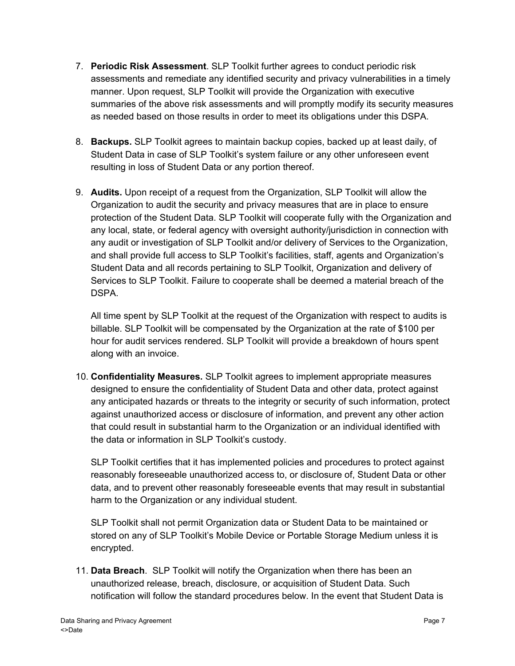- 7. **Periodic Risk Assessment**. SLP Toolkit further agrees to conduct periodic risk assessments and remediate any identified security and privacy vulnerabilities in a timely manner. Upon request, SLP Toolkit will provide the Organization with executive summaries of the above risk assessments and will promptly modify its security measures as needed based on those results in order to meet its obligations under this DSPA.
- 8. **Backups.** SLP Toolkit agrees to maintain backup copies, backed up at least daily, of Student Data in case of SLP Toolkit's system failure or any other unforeseen event resulting in loss of Student Data or any portion thereof.
- 9. **Audits.** Upon receipt of a request from the Organization, SLP Toolkit will allow the Organization to audit the security and privacy measures that are in place to ensure protection of the Student Data. SLP Toolkit will cooperate fully with the Organization and any local, state, or federal agency with oversight authority/jurisdiction in connection with any audit or investigation of SLP Toolkit and/or delivery of Services to the Organization, and shall provide full access to SLP Toolkit's facilities, staff, agents and Organization's Student Data and all records pertaining to SLP Toolkit, Organization and delivery of Services to SLP Toolkit. Failure to cooperate shall be deemed a material breach of the DSPA.

All time spent by SLP Toolkit at the request of the Organization with respect to audits is billable. SLP Toolkit will be compensated by the Organization at the rate of \$100 per hour for audit services rendered. SLP Toolkit will provide a breakdown of hours spent along with an invoice.

10. **Confidentiality Measures.** SLP Toolkit agrees to implement appropriate measures designed to ensure the confidentiality of Student Data and other data, protect against any anticipated hazards or threats to the integrity or security of such information, protect against unauthorized access or disclosure of information, and prevent any other action that could result in substantial harm to the Organization or an individual identified with the data or information in SLP Toolkit's custody.

SLP Toolkit certifies that it has implemented policies and procedures to protect against reasonably foreseeable unauthorized access to, or disclosure of, Student Data or other data, and to prevent other reasonably foreseeable events that may result in substantial harm to the Organization or any individual student.

SLP Toolkit shall not permit Organization data or Student Data to be maintained or stored on any of SLP Toolkit's Mobile Device or Portable Storage Medium unless it is encrypted.

11. **Data Breach**. SLP Toolkit will notify the Organization when there has been an unauthorized release, breach, disclosure, or acquisition of Student Data. Such notification will follow the standard procedures below. In the event that Student Data is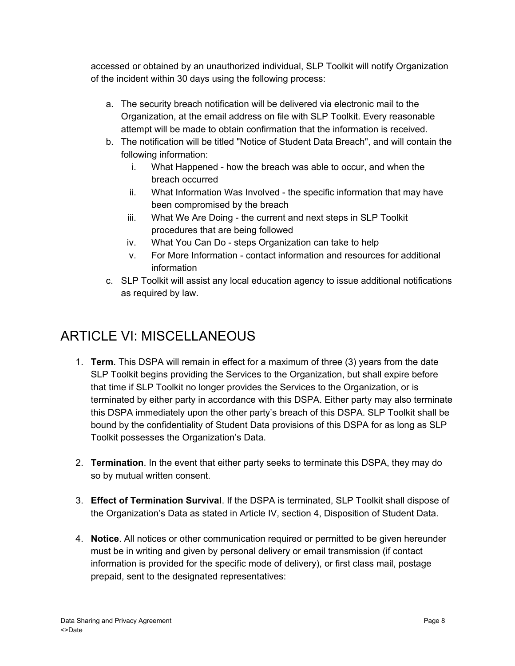accessed or obtained by an unauthorized individual, SLP Toolkit will notify Organization of the incident within 30 days using the following process:

- a. The security breach notification will be delivered via electronic mail to the Organization, at the email address on file with SLP Toolkit. Every reasonable attempt will be made to obtain confirmation that the information is received.
- b. The notification will be titled "Notice of Student Data Breach", and will contain the following information:
	- i. What Happened how the breach was able to occur, and when the breach occurred
	- ii. What Information Was Involved the specific information that may have been compromised by the breach
	- iii. What We Are Doing the current and next steps in SLP Toolkit procedures that are being followed
	- iv. What You Can Do steps Organization can take to help
	- v. For More Information contact information and resources for additional information
- c. SLP Toolkit will assist any local education agency to issue additional notifications as required by law.

## ARTICLE VI: MISCELLANEOUS

- 1. **Term**. This DSPA will remain in effect for a maximum of three (3) years from the date SLP Toolkit begins providing the Services to the Organization, but shall expire before that time if SLP Toolkit no longer provides the Services to the Organization, or is terminated by either party in accordance with this DSPA. Either party may also terminate this DSPA immediately upon the other party's breach of this DSPA. SLP Toolkit shall be bound by the confidentiality of Student Data provisions of this DSPA for as long as SLP Toolkit possesses the Organization's Data.
- 2. **Termination**. In the event that either party seeks to terminate this DSPA, they may do so by mutual written consent.
- 3. **Effect of Termination Survival**. If the DSPA is terminated, SLP Toolkit shall dispose of the Organization's Data as stated in Article IV, section 4, Disposition of Student Data.
- 4. **Notice**. All notices or other communication required or permitted to be given hereunder must be in writing and given by personal delivery or email transmission (if contact information is provided for the specific mode of delivery), or first class mail, postage prepaid, sent to the designated representatives: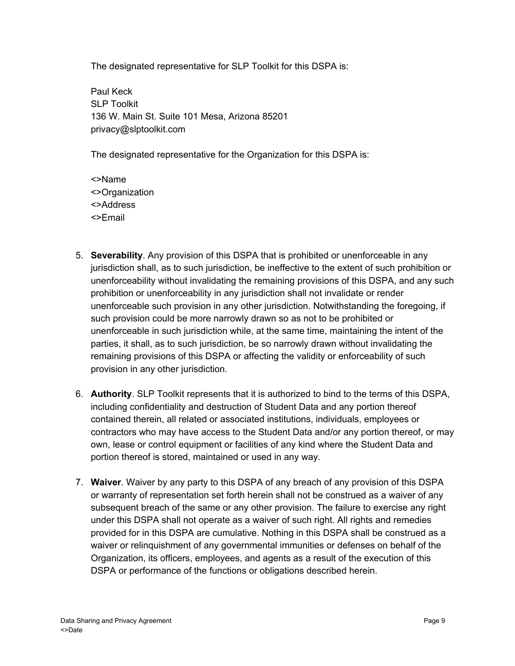The designated representative for SLP Toolkit for this DSPA is:

Paul Keck SLP Toolkit 136 W. Main St. Suite 101 Mesa, Arizona 85201 privacy@slptoolkit.com

The designated representative for the Organization for this DSPA is:

<>Name <>Organization <>Address <>Email

- 5. **Severability**. Any provision of this DSPA that is prohibited or unenforceable in any jurisdiction shall, as to such jurisdiction, be ineffective to the extent of such prohibition or unenforceability without invalidating the remaining provisions of this DSPA, and any such prohibition or unenforceability in any jurisdiction shall not invalidate or render unenforceable such provision in any other jurisdiction. Notwithstanding the foregoing, if such provision could be more narrowly drawn so as not to be prohibited or unenforceable in such jurisdiction while, at the same time, maintaining the intent of the parties, it shall, as to such jurisdiction, be so narrowly drawn without invalidating the remaining provisions of this DSPA or affecting the validity or enforceability of such provision in any other jurisdiction.
- 6. **Authority**. SLP Toolkit represents that it is authorized to bind to the terms of this DSPA, including confidentiality and destruction of Student Data and any portion thereof contained therein, all related or associated institutions, individuals, employees or contractors who may have access to the Student Data and/or any portion thereof, or may own, lease or control equipment or facilities of any kind where the Student Data and portion thereof is stored, maintained or used in any way.
- 7. **Waiver**. Waiver by any party to this DSPA of any breach of any provision of this DSPA or warranty of representation set forth herein shall not be construed as a waiver of any subsequent breach of the same or any other provision. The failure to exercise any right under this DSPA shall not operate as a waiver of such right. All rights and remedies provided for in this DSPA are cumulative. Nothing in this DSPA shall be construed as a waiver or relinquishment of any governmental immunities or defenses on behalf of the Organization, its officers, employees, and agents as a result of the execution of this DSPA or performance of the functions or obligations described herein.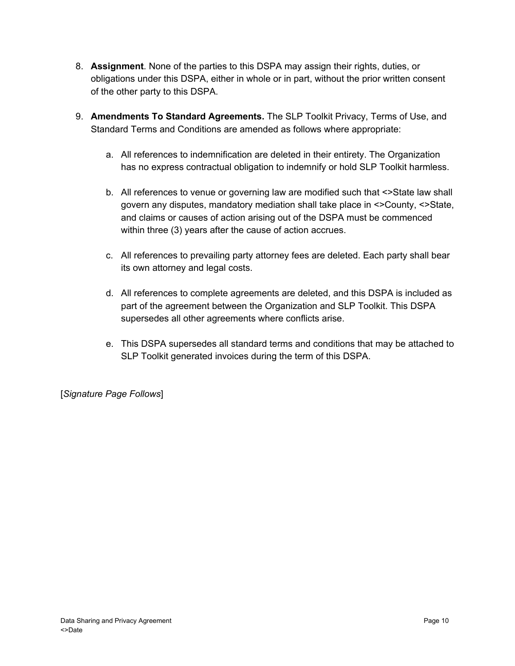- 8. **Assignment**. None of the parties to this DSPA may assign their rights, duties, or obligations under this DSPA, either in whole or in part, without the prior written consent of the other party to this DSPA.
- 9. **Amendments To Standard Agreements.** The SLP Toolkit Privacy, Terms of Use, and Standard Terms and Conditions are amended as follows where appropriate:
	- a. All references to indemnification are deleted in their entirety. The Organization has no express contractual obligation to indemnify or hold SLP Toolkit harmless.
	- b. All references to venue or governing law are modified such that <>State law shall govern any disputes, mandatory mediation shall take place in <>County, <>State, and claims or causes of action arising out of the DSPA must be commenced within three (3) years after the cause of action accrues.
	- c. All references to prevailing party attorney fees are deleted. Each party shall bear its own attorney and legal costs.
	- d. All references to complete agreements are deleted, and this DSPA is included as part of the agreement between the Organization and SLP Toolkit. This DSPA supersedes all other agreements where conflicts arise.
	- e. This DSPA supersedes all standard terms and conditions that may be attached to SLP Toolkit generated invoices during the term of this DSPA.

[*Signature Page Follows*]